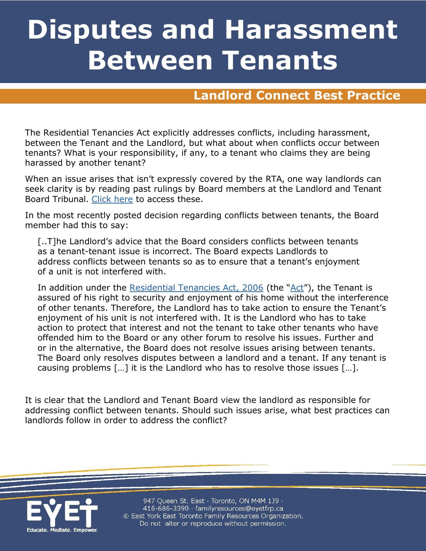# **Disputes and Harassment Between Tenants**

### **Landlord Connect Best Practice**

The Residential Tenancies Act explicitly addresses conflicts, including harassment, between the Tenant and the Landlord, but what about when conflicts occur between tenants? What is your responsibility, if any, to a tenant who claims they are being harassed by another tenant?

When an issue arises that isn't expressly covered by the RTA, one way landlords can seek clarity is by reading past rulings by Board members at the Landlord and Tenant Board Tribunal. [Click here](http://www.sjto.gov.on.ca/ltb/decisions/) to access these.

In the most recently posted decision regarding conflicts between tenants, the Board member had this to say:

[..T]he Landlord's advice that the Board considers conflicts between tenants as a tenant-tenant issue is incorrect. The Board expects Landlords to address conflicts between tenants so as to ensure that a tenant's enjoyment of a unit is not interfered with.

In addition under the [Residential Tenancies Act, 2006](https://www.ontario.ca/laws/statute/06r17) (the ["Act"](https://www.canlii.org/en/on/laws/stat/so-2006-c-17/latest/so-2006-c-17.html)), the Tenant is assured of his right to security and enjoyment of his home without the interference of other tenants. Therefore, the Landlord has to take action to ensure the Tenant's enjoyment of his unit is not interfered with. It is the Landlord who has to take action to protect that interest and not the tenant to take other tenants who have offended him to the Board or any other forum to resolve his issues. Further and or in the alternative, the Board does not resolve issues arising between tenants. The Board only resolves disputes between a landlord and a tenant. If any tenant is causing problems […] it is the Landlord who has to resolve those issues […].

It is clear that the Landlord and Tenant Board view the landlord as responsible for addressing conflict between tenants. Should such issues arise, what best practices can landlords follow in order to address the conflict?



947 Queen St. East · Toronto, ON M4M 1J9 · 416-686-3390 · familyresources@eyetfrp.ca © East York East Toronto Family Resources Organization. Do not alter or reproduce without permission.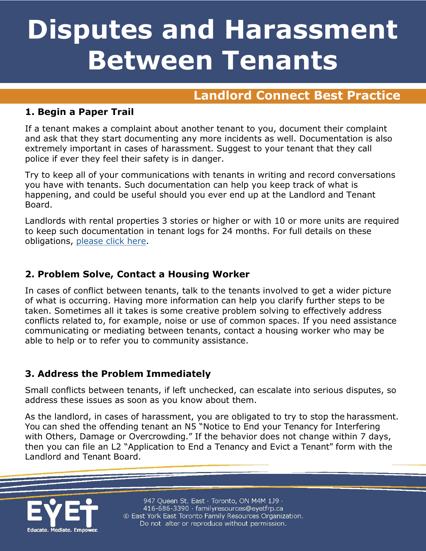# **Disputes and Harassment Between Tenants**

### **Landlord Connect Best Practice**

#### **1. Begin a Paper Trail**

If a tenant makes a complaint about another tenant to you, document their complaint and ask that they start documenting any more incidents as well. Documentation is also extremely important in cases of harassment. Suggest to your tenant that they call police if ever they feel their safety is in danger.

Try to keep all of your communications with tenants in writing and record conversations you have with tenants. Such documentation can help you keep track of what is happening, and could be useful should you ever end up at the Landlord and Tenant Board.

Landlords with rental properties 3 stories or higher or with 10 or more units are required to keep such documentation in tenant logs for 24 months. For full details on these obligations, [please click here.](https://www.toronto.ca/community-people/housing-shelter/rental-housing-standards/apartment-building-standards/rentsafeto-for-building-owners/)

#### **2. Problem Solve, Contact a Housing Worker**

In cases of conflict between tenants, talk to the tenants involved to get a wider picture of what is occurring. Having more information can help you clarify further steps to be taken. Sometimes all it takes is some creative problem solving to effectively address conflicts related to, for example, noise or use of common spaces. If you need assistance communicating or mediating between tenants, contact a housing worker who may be able to help or to refer you to community assistance.

#### **3. Address the Problem Immediately**

Small conflicts between tenants, if left unchecked, can escalate into serious disputes, so address these issues as soon as you know about them.

As the landlord, in cases of harassment, you are obligated to try to stop the harassment. You can shed the offending tenant an N5 "Notice to End your Tenancy for Interfering with Others, Damage or Overcrowding." If the behavior does not change within 7 days, then you can file an L2 "Application to End a Tenancy and Evict a Tenant" form with the Landlord and Tenant Board.



947 Queen St. East · Toronto, ON M4M 1J9 · 416-686-3390 · familyresources@eyetfrp.ca © East York East Toronto Family Resources Organization. Do not alter or reproduce without permission.